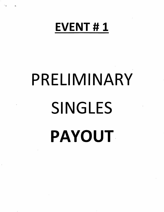# EVENT #1

# PRELIMINARY SINGLES PAYOUT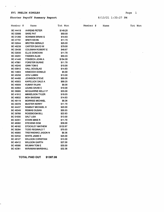### EVl PRELIM SINGLES

 $\mathbf{G}^{(n)}$  and  $\mathbf{G}^{(n)}$ 

 $\sim$ 

 $\ddot{\phantom{0}}$ 

### Shooter Payoff Summary Report 8/13/21 1:33:27 PM

|  | 01 1.00.00 DM |  |
|--|---------------|--|

| Member #        | Name                      | Tot Won  | Member # | Name |  | Tot Won |
|-----------------|---------------------------|----------|----------|------|--|---------|
| BC 44418        | <b>AHRENS PETER</b>       | \$149.25 |          |      |  |         |
| BC 02066        | <b>BARE PAT</b>           | \$50.00  |          |      |  |         |
| BC 01260        | <b>BOWMAN BRIAN G</b>     | \$14.63  |          |      |  |         |
| BC 47791        | <b>BRETI KEVIN</b>        | \$11.70  |          |      |  |         |
| BC 02044        | <b>BROTEN GERALD</b>      | \$25.00  |          |      |  |         |
| BC 40239        | <b>CARTER DAVID W</b>     | \$79.00  |          |      |  |         |
| BC 35436        | <b>COLEMAN ROBERT E</b>   | \$48.67  |          |      |  |         |
| <b>BC 02030</b> | <b>ELLIS DONOVAN</b>      | \$11.70  |          |      |  |         |
| BC 40291        | <b>FADDEN ALAN</b>        | \$55.03  |          |      |  |         |
| <b>BC 41440</b> | <b>FONSECA JOHN A</b>     | \$154.00 |          |      |  |         |
| BC 47861        | <b>FORSTER BURKE</b>      | \$11.70  |          |      |  |         |
| <b>BC 45240</b> | <b>GINN TOM E</b>         | \$10.00  |          |      |  |         |
| BC 00912        | <b>HALL DOUGLAS</b>       | \$14.63  |          |      |  |         |
| BC 14803        | <b>HANCOCK DONALD</b>     | \$5.00   |          |      |  |         |
| BC 45258        | <b>IZOV LUBEN</b>         | \$13.00  |          |      |  |         |
| <b>BC 44488</b> | <b>JOHNSON STEVE</b>      | \$50.00  |          |      |  |         |
| BC 45003        | <b>KAPELUCK DALE A</b>    | \$69.25  |          |      |  |         |
| <b>BC 49009</b> | <b>KUMAR RAJAN</b>        | \$8.00   |          |      |  |         |
| BC 42064        | LEUNG DAVID C             | \$10.00  |          |      |  |         |
| BC 36085        | MCQUARRIE KELLY P         | \$33.00  |          |      |  |         |
| BC 41912        | <b>MIKKELSON TYLER</b>    | \$19.03  |          |      |  |         |
| BC 46832        | <b>MOH BASSAM</b>         | \$14.63  |          |      |  |         |
| BC 48119        | <b>MORRISS MICHAEL</b>    | \$8.36   |          |      |  |         |
| BC 29378        | <b>MUSTER KERRY</b>       | \$11.70  |          |      |  |         |
| <b>BC 44437</b> | <b>RAMSAY MICHAEL H</b>   | \$20.00  |          |      |  |         |
| <b>BC 49349</b> | <b>REMIAS DUSAN</b>       | \$55.03  |          |      |  |         |
| BC 39768        | <b>ROSEBOOM BILL</b>      | \$22.63  |          |      |  |         |
| <b>BC 01930</b> | <b>SALT LISA</b>          | \$13.00  |          |      |  |         |
| <b>BC 42051</b> | <b>STARK MIKE R</b>       | \$11.70  |          |      |  |         |
| BC 46082        | <b>STEVENS DOM</b>        | \$39.00  |          |      |  |         |
| BC 48182        | <b>STOCKLEY MATHEW</b>    | \$132.67 |          |      |  |         |
| BC 36284        | <b>TODD REGINALD T</b>    | \$70.03  |          |      |  |         |
| <b>BC 46965</b> | <b>TREFANENKO JASON N</b> | \$8.36   |          |      |  |         |
| BC 02532        | <b>WHITE JAMIE E</b>      | \$25.00  |          |      |  |         |
| BC 48127        | <b>WILLSON CHRISTIAN</b>  | \$13.00  |          |      |  |         |
| BC 46412        | <b>WILLSON GARTH</b>      | \$37.00  |          |      |  |         |
| BC 48580        | <b>WILMAN TOM E</b>       | \$30.00  |          |      |  |         |
| BC 42361        | <b>WIRAWAN MARSHALL</b>   | \$32.36  |          |      |  |         |

TOTAL PAID OUT \$1387.06

| Page |  |
|------|--|
|------|--|

| \$11.70  | $\bullet$ |
|----------|-----------|
| \$55.03  |           |
| \$154.00 |           |
| \$11.70  |           |
| \$10.00  |           |
| \$14.63  |           |
| \$5.00   | $\cdot$   |
| \$13.00  |           |
| \$50.00  |           |
| \$69.25  |           |
| \$8.00   |           |
| \$10.00  |           |
| \$33.00  |           |
| \$19.03  |           |
| \$14.63  |           |
| \$8.36   |           |
| \$11.70  |           |
| \$20.00  |           |
| \$55.03  |           |
| \$22.63  |           |
| \$13.00  |           |
| \$11.70  | $\sim$    |
| \$39.00  |           |
| \$132.67 |           |
|          |           |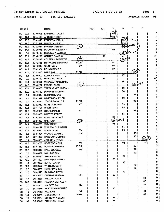$\ddot{\phantom{a}}$ 

 $\ddot{\phantom{a}}$ 

 $\sim$ 

Total Shooters 53 1st 100 TARGETS

AVERAGE SCORE 93

|           | Squad |                 | Name                      |                         | AAA | AA | А   | В   | С            | D  |                     |
|-----------|-------|-----------------|---------------------------|-------------------------|-----|----|-----|-----|--------------|----|---------------------|
| BС        | 20.2  | <b>BC 45003</b> | <b>KAPELUCK DALE A</b>    |                         |     |    | 100 |     |              |    | A                   |
| ВC        | 17.4  | <b>BC 44418</b> | <b>AHRENS PETER</b>       |                         |     |    | 100 |     |              |    |                     |
| <b>BC</b> | 20.5  | <b>BC 41440</b> | <b>FONSECA JOHN A</b>     |                         |     |    |     | 99  |              |    | в                   |
| <b>BC</b> | 17.5  | BC 02532        | <b>WHITE JAMIE E</b>      |                         |     |    |     | 99  |              |    | в                   |
| <b>BC</b> | 16.2  | <b>BC 02044</b> | <b>BROTEN GERALD</b>      | E)                      |     |    |     |     | <b>BEDER</b> |    | в                   |
| BC        | 14.1  | <b>BC 36085</b> | <b>MCQUARRIE KELLY P</b>  |                         |     |    | 99  |     |              |    |                     |
| BC        | 4.5   | BC 48182        | <b>STOCKLEY MATHEW</b>    |                         |     |    |     | 99  |              |    | в                   |
| вc        | 20.1  | <b>BC 40239</b> | <b>CARTER DAVID W</b>     |                         |     | 98 |     |     |              |    | AA                  |
| BC        | 15.5  | BC 35436        | <b>COLEMAN ROBERT E</b>   | <b>SV</b>               |     |    |     | 98  |              |    | в                   |
| <b>BC</b> | 17.1  | <b>BC 12826</b> | <b>REYNOLDS BERNARD</b>   | ELDR                    |     |    | 97  |     |              |    |                     |
| <b>BC</b> | 14.3  | <b>BC 45240</b> | <b>GINN TOM E</b>         | SV                      |     |    | 97  |     |              |    |                     |
| <b>BC</b> | 14.2  | <b>BC 42064</b> | LEUNG DAVID C             |                         |     |    | 97  |     |              |    |                     |
| BC        | 10.5  | BC 02066        | <b>BARE PAT</b>           | <b>ELDR</b>             |     |    |     |     | 97           |    |                     |
| BC        | 8.5   | <b>BC 49009</b> | <b>KUMAR RAJAN</b>        |                         |     |    |     | 97  |              |    | в                   |
| ВC        | 2.2   | BC 46412        | <b>WILLSON GARTH</b>      |                         |     | 97 |     |     |              |    | АΑ                  |
| ВC        | 20.4  | BC 42361        | <b>WIRAWAN MARSHALL</b>   |                         |     |    |     | 96  |              |    | в                   |
| BC        | 14.5  | BC 40291        | <b>FADDEN ALAN</b>        | $\overline{\mathbf{M}}$ |     |    |     |     | <u> Go</u>   |    | С                   |
| BС        | 10.4  | <b>BC 46965</b> | TREFANENKO JASON N        |                         |     |    |     | 96  |              |    | в                   |
| <b>BC</b> | 10.2  | BC 48119        | <b>MORRISS MICHAEL</b>    |                         |     |    |     | 96  |              |    | в                   |
| <b>BC</b> | 8.1   | <b>BC 49349</b> | <b>REMIAS DUSAN</b>       |                         |     |    |     |     | 96           |    | С                   |
| <b>BC</b> | 4.4   | BC 41912        | <b>MIKKELSON TYLER</b>    |                         |     |    |     | 96  |              |    | В                   |
| <b>BC</b> | 3.4   | BC 36284        | <b>TODD REGINALD T</b>    | <b>ELDR</b>             |     |    |     |     | 96           |    |                     |
| <b>BC</b> | 16.5  | <b>BC 02030</b> | <b>ELLIS DONOVAN</b>      | v٣                      |     |    |     | 95  |              |    | в                   |
| BC        | 13.1  | <b>BC 47791</b> | <b>BRETI KEVIN</b>        |                         |     |    |     | 95  |              |    | в                   |
| <b>BC</b> | 12.2  | BC 42051        | <b>STARK MIKE R</b>       | VT                      |     |    |     |     | 95           |    |                     |
| <b>BC</b> | 10.1  | <b>BC 29378</b> | <b>MUSTER KERRY</b>       |                         |     |    |     | 95  |              |    |                     |
| <b>BC</b> | 4.2   | BC 47861        | <b>FORSTER BURKE</b>      |                         |     |    | 95  |     |              |    |                     |
| BС        | 15.4  | <b>BC 01930</b> | <b>SALT LISA</b>          | መ                       |     |    | 94  | IOM |              |    |                     |
| <b>BC</b> | 14.4  | <b>BC 45258</b> | <b>IZOV LUBEN</b>         |                         |     |    | 94  |     |              |    |                     |
| <b>BC</b> | 4.3   | <b>BC 48127</b> | <b>WILLSON CHRISTIAN</b>  |                         |     |    |     | 94  |              |    |                     |
| <b>BC</b> | 17.2  | BC 16660        | <b>WADE DAVE</b>          | sv                      |     |    |     | 93  |              |    |                     |
| <b>BC</b> | 8.3   | <b>BC 01024</b> | <b>WOODS GARRY J</b>      | sv                      |     |    |     |     | 93           |    |                     |
| BС        | 2.4   | <b>BC 14803</b> | <b>HANCOCK DONALD</b>     |                         |     |    |     |     | 93           |    | С                   |
| <b>BC</b> | 1.4   | <b>BC 44488</b> | <b>JOHNSON STEVE</b>      |                         |     |    |     |     |              | 93 | D                   |
| <b>BC</b> | 16.3  | <b>BC 39768</b> | <b>ROSEBOOM BILL</b>      | VT                      |     |    |     | 92  |              |    | в                   |
| <b>BC</b> | 15.1  |                 | BC 01260 BOWMAN BRIAN G   | <b>ELDR</b>             |     |    |     |     | 92           |    | с                   |
| BC        | 10.3  | BC 00912        | <b>HALL DOUGLAS</b>       | VT                      |     |    |     |     | $92$         |    | c                   |
| <b>BC</b> | 3.5   | BC 46832        | <b>MOH BASSAM</b>         |                         |     |    |     |     | 92           |    | C <sub>1</sub>      |
| BС        | 12.1  | BC 46082        | <b>STEVENS DOM</b>        |                         |     |    |     | 91  |              |    | B <sub>1</sub>      |
| BC        | 13.2  | <b>BC 45522</b> | <b>MORRISON MARK I</b>    |                         |     |    | 90  |     |              |    | Α                   |
| <b>BC</b> | 4.1   | <b>BC 40983</b> | <b>BONAR DAVID</b>        |                         |     |    |     | 90  |              |    | в                   |
| BC.       | 16.1  |                 | BC 02530 WHITE ROBERT     | S٧                      |     |    |     |     | 89           |    | c<br>$\blacksquare$ |
| <b>BC</b> | 13.5  | <b>BC 46556</b> | <b>HUBERMAN JON</b>       |                         |     |    |     |     | 89           |    | С                   |
| <b>BC</b> | 12.3  | <b>BC 02473</b> | <b>RAJKOWSKI TED</b>      |                         |     |    |     | 89  |              |    | в                   |
| <b>BC</b> | 3.1   |                 | BC 45623 CHEUNG WINONA    | LDI                     |     |    | 89  |     |              |    | A                   |
| BC.       | 1.1   |                 | BC 48580 WILMAN TOM E     |                         |     |    |     |     |              | 88 | D                   |
| BC        | 20.3  |                 | BC 44437 RAMSAY MICHAEL H |                         |     |    |     |     |              | 87 | D                   |
| BC        | 1.2   | <b>BC 47753</b> | <b>MA PATRICK</b>         | <b>SV</b>               |     |    |     |     |              | 85 | D                   |
| <b>BC</b> | 3.3   | <b>BC 49356</b> | <b>BARTECKO RICHARD</b>   |                         |     |    | 84  |     |              |    | A.                  |
| <b>BC</b> | 1.3   |                 | BC 47752 KAM SAM          | VT.                     |     |    |     |     |              | 84 | D                   |
| <b>BC</b> | 15.3  |                 | BC 02118 MILLER RON J     | <b>ELDR</b>             |     |    |     |     |              | 83 | $D_1$               |
| BC        | 2.5   |                 | BC 49414 BURDEYNY BRENT   |                         |     |    | 76  |     |              |    | A.                  |
| <b>BC</b> | 3.2   |                 | BC 49442 AGOSTINO PHIL A  |                         |     |    | 75  |     |              |    | $A_1$               |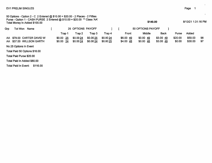# EV1 PRELIM SINGLES

| 50 Options - Option 2 - C 2 Entered @ $$10.00 = $20.00$ - 2 Places - 2 Fifties<br>Purse - Option 1 - CASH PURSE 2 Entered @ \$10.00 = \$20.00 ** Class 'AA'<br>Total Money In Added \$100.00 |                       |                      |                        |                        |                        |                          | \$140.00          |                         |                   | 8/13/21 1:31:16 PM | $\bullet$ |
|----------------------------------------------------------------------------------------------------------------------------------------------------------------------------------------------|-----------------------|----------------------|------------------------|------------------------|------------------------|--------------------------|-------------------|-------------------------|-------------------|--------------------|-----------|
| Grp<br>Tot Won<br>Name                                                                                                                                                                       |                       | 25 OPTIONS PAYOFF    |                        |                        |                        |                          | 50 OPTIONS PAYOFF |                         |                   |                    |           |
|                                                                                                                                                                                              | Trap 1                | Trap 2               | Trap 3                 | Trap 4                 | Front                  |                          | <b>Middle</b>     | <b>Back</b>             | Purse             | Added              |           |
| AA \$79.00 CARTER DAVID W<br>AA \$37.00 WILLSON GARTH                                                                                                                                        | \$0.00 25<br>\$0.0024 | \$0.0024<br>\$0.0024 | \$0.00 25<br>\$0.00 24 | \$0.00 24<br>\$0.00 25 | \$6.00 49<br>\$4.00 48 | $$0.00$ 49<br>$$0.00$ 48 |                   | $$3.00$ 49<br>\$3.00 49 | \$20.00<br>\$0.00 | \$50.00<br>\$30.00 | 98<br>97  |
| No 25 Options In Event                                                                                                                                                                       |                       |                      |                        |                        |                        |                          |                   |                         |                   |                    |           |
| Total Paid 50 Options \$16.00                                                                                                                                                                |                       |                      |                        |                        |                        |                          |                   |                         |                   |                    |           |
| Total Paid Purse \$20.00                                                                                                                                                                     |                       |                      |                        |                        |                        |                          |                   |                         |                   |                    |           |
| Total Paid In Added \$80.00                                                                                                                                                                  |                       |                      |                        |                        |                        |                          |                   |                         |                   |                    |           |
| Total Paid In Event:<br>\$116.00                                                                                                                                                             |                       |                      |                        |                        |                        |                          |                   |                         |                   |                    |           |

en de la construction de la construction de la construction de la construction de la construction de la construction de la construction de la construction de la construction de la construction de la construction de la cons

 $\ddot{\phantom{a}}$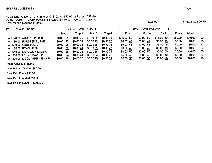## EV1 PRELIM SINGLES

 $\sim$ 

50 Options - Option 2 - C 5 Entered @ \$10.00 = \$50.00 - 2 Places - 2 FiftiesPurse - Option 1 - CASH PURSE 5 Entered @ \$10.00 = \$50.00 \*\* Class 'A' Total Money In Added \$100.00 $\frac{1}{200.00}$  8/13/21 1:31:25 PM

| Grp | Tot Won<br><b>Name</b>      |               | 25 OPTIONS PAYOFF |          |           |            | 50 OPTIONS PAYOFF |            |         |         |     |
|-----|-----------------------------|---------------|-------------------|----------|-----------|------------|-------------------|------------|---------|---------|-----|
|     |                             | Trap 1        | Trap 2            | Trap 3.  | Trap 4    | Front      | Middle            | Back       | Purse   | Added   |     |
|     | A \$120.00 AHRENS PETER     | -25<br>\$0.00 | \$0.00 25         | \$0.0025 | \$0.00 25 | \$15.00 50 | \$0.00 50         | \$15.00 50 | \$50.00 | \$40.00 | 100 |
| A   | \$0.00 FORSTER BURKE        | \$0.00 23     | \$0.00 24         | \$0.0025 | \$0.0023  | \$0.00 47  | \$0.0049          | \$0.0048   | \$0.00  | \$0.00  | -95 |
|     | A \$10.00 GINN TOM E        | \$0.00 25     | \$0.00 23         | \$0.0025 | \$0.0024  | \$5.00 48  | \$0.0048          | \$5.00 49  | \$0.00  | \$0.00  | -97 |
| A   | \$0.00 IZOV LUBEN           | \$0.0022      | \$0.0024          | \$0.0025 | \$0.0023  | \$0.0046   | \$0.0049          | \$0.0048   | \$0.00  | \$0.00  | 94  |
|     | A \$40.00 KAPELUCK DALE A   | -25<br>\$0.00 | \$0.00 25         | \$0.0025 | \$0.00 25 | \$0.0050   | \$0.00 50         | \$0.0050   | \$0.00  | \$40.00 | 100 |
|     | A \$10.00 LEUNG DAVID C     | \$0.0024      | \$0.0024          | \$0.0024 | \$0.00 25 | \$5.00 48  | \$0.0048          | \$5.00 49  | \$0.00  | \$0.00  | 97  |
|     | A \$20.00 MCQUARRIE KELLY P | -25<br>\$0.00 | \$0.0025          | \$0.0025 | \$0.00 24 | \$0.00, 50 | \$0.00 50         | \$0.00 49  | \$0.00  | \$20.00 | -99 |

No 25 Options In Event

Total Paid 50 Options \$50.00

Total Paid Purse \$50.00

Total Paid In Added \$100.00

Total Paid In Event: \$200.00

 $\ddot{\phantom{a}}$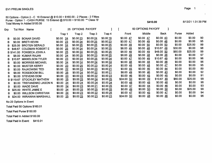50 Options - Option 2 - C 16 Entered @ \$10.00 = \$160.00 - 2 Places - 2 Fifties<br>Purse - Option 1 - CASH PURSE 15 Entered @ \$10.00 = \$150.00 \*\* Class 'B' Total Money In Added \$100.00 $\frac{1}{3}$  8/13/21 1:31:39 PM

| Grp | Tot Won    | Name                      |                     | 25 OPTIONS PAYOFF |           |           |                        | 50 OPTIONS PAYOFF      |                        |         |         |    |
|-----|------------|---------------------------|---------------------|-------------------|-----------|-----------|------------------------|------------------------|------------------------|---------|---------|----|
|     |            |                           | Trap 1              | Trap 2            | Trap 3    | Trap 4    | Front                  | Middle                 | <b>Back</b>            | Purse   | Added   |    |
| B   |            | \$0.00 BONAR DAVID        | $$0.00$ 24          | \$0.0023          | \$0.00 24 | \$0.0019  | $$0.00$ 47             | \$0.00 47              | \$0.0043               | \$0.00  | \$0.00  | 90 |
| в   | \$0.00     | <b>BRETI KEVIN</b>        | \$0.00<br>23        | \$0.0024          | \$0.0025  | \$0.0023  | \$0.00 47              | $$0.00 \underline{49}$ | $$0.00 \; 48$          | \$0.00  | \$0.00  | 95 |
|     | \$25.00    | <b>BROTEN GERALD</b>      | \$0.00<br>24        | \$0.0025          | \$0.00 25 | \$0.0025  | $$0.00 \underline{49}$ | $$0.00\ 50$            | \$0.00 50              | \$0.00  | \$25.00 | 99 |
|     | \$48.67    | <b>COLEMAN ROBERT E</b>   | 25<br>\$0.00        | \$0.0024          | \$0.0024  | \$0.00 25 | \$8.00 49              | $$0.00 \; 48$          | \$10.67 49             | \$30.00 | \$0.00  | 98 |
|     |            | B \$141.00 FONSECA JOHN A | 25<br>\$0.00        | \$0.00 24         | \$0.0025  | \$0.00 25 | \$8.00 49              | \$0.00 49              | \$48.00 50             | \$60.00 | \$25.00 | 99 |
|     |            | \$8.00 KUMAR RAJAN        | 24<br>\$0.00        | \$0.00 25         | \$0.0023  | \$0.00 25 | \$8.00 49              | $$0.00 \frac{48}{ }$   | \$0.00 48              | \$0.00  | \$0.00  | 97 |
| B   | \$10.67    | <b>MIKKELSON TYLER</b>    | 23<br>\$0.00        | \$0.0024          | \$0.00 25 | \$0.0024  | \$0.0047               | $$0.00 \frac{49}{ }$   | \$10.67 49             | \$0.00  | \$0.00  | 96 |
| в   | \$0.00     | <b>MORRISS MICHAEL</b>    | 24<br>\$0.00        | \$0.0024          | \$0.00 24 | \$0.0024  | $$0.00 \underline{48}$ | $$0.00$ 48             | \$0.0048               | \$0.00  | \$0.00  | 96 |
| В   |            | \$0.00 MUSTER KERRY       | \$0.00<br>23        | \$0.00 25         | \$0.0023  | \$0.0024  | $$0.00 \; 48$          | $$0.00 \; 48$          | \$0.00 47              | \$0.00  | \$0.00  | 95 |
| в   |            | \$0.00 RAJKOWSKI TED      | 22<br>\$0.00        | \$0.0023          | \$0.0023  | \$0.0021  | $$0.00 \; 45$          | \$0.00 46              | $$0.00 \underline{44}$ | \$0.00  | \$0.00  | 89 |
| в   |            | \$8.00 ROSEBOOM BILL      | \$0.00<br><u>25</u> | \$0.0024          | \$0.00 22 | \$0.0021  | \$8.00 49              | \$0.0046               | $$0.00 \; 43$          | \$0.00  | \$0.00  | 92 |
| В   | \$0.00     | <b>STEVENS DOM</b>        | 23<br>\$0.00        | \$0.00 23         | \$0.0022  | \$0.0023  | $$0.00 \underline{46}$ | $$0.00 \underline{45}$ | \$0.0045               | \$0.00  | \$0.00  | 91 |
|     | B \$119.67 | <b>STOCKLEY MATHEW</b>    | \$0.00<br>25        | \$0.00 25         | \$0.0024  | \$0.0025  | \$24.00 50             | \$0.00 49              | \$10.67 49             | \$60.00 | \$25.00 | 99 |
| В   | \$0.00     | <b>TREFANENKO JASON N</b> | -24<br>\$0.00       | \$0.00 24         | \$0.0024  | \$0.0024  | $$0.00 \; 48$          | \$0.00 48              | $$0.00 \; 48$          | \$0.00  | \$0.00  | 96 |
| в   |            | \$0.00 WADE DAVE          | \$0.00<br>24        | \$0.0023          | \$0.0021  | \$0.00 25 | \$0.00 47              | \$0.00 44              | \$0.00 46              | \$0.00  | \$0.00  | 93 |
| в   |            | \$25.00 WHITE JAMIE E     | -24<br>\$0.00       | \$0.0025          | \$0.00 25 | \$0.00 25 | $$0.00 \underline{49}$ | \$0.00 50              | \$0.00, 50             | \$0.00  | \$25.00 | 99 |
| в   |            | \$0.00 WILLSON CHRISTIAN  | \$0.00<br>24        | \$0.00 23         | \$0.0022  | \$0.00 25 | \$0.00 47              | $$0.00$ 45             | \$0.0047               | \$0.00  | \$0.00  | 94 |
| В.  | \$24.00    | <b>WIRAWAN MARSHALL</b>   | 25<br>\$0.00        | \$0.0025          | \$0.0023  | \$0.0023  | \$24.00 50             | \$0.00 48              | \$0.00 46              | \$0.00  | \$0.00  | 96 |

No 25 Options In Event

Total Paid 50 Options \$160.01

Total Paid Purse \$150.00

Total Paid In Added \$100.00

Total Paid In Event: \$410.01

 $\bullet$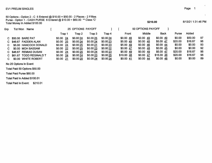50 Options - Option 2 - C 5 Entered @ \$10.00 = \$50.00 - 2 Places - 2 Fifties Purse - Option 1 - CASH PURSE 6 Entered @ \$10.00 = \$60.00 \*\* Class 'CTotal Money In Added \$100.00

| Grp | Tot Won<br><b>Name</b>  |                | 25 OPTIONS PAYOFF |          |           |            | 50 OPTIONS PAYOFF |            |         |         |    |
|-----|-------------------------|----------------|-------------------|----------|-----------|------------|-------------------|------------|---------|---------|----|
|     |                         | Trao 1         | Trap 2            | Trap 3   | Trap 4    | Front      | Middle            | Back       | Purse   | Added   |    |
|     | C \$50.00 BARE PAT      | \$0.0024       | \$0.0024          | \$0.0025 | \$0.0024  | \$0.0048   | $$0.00$ 49        | \$0.00 49  | \$0.00  | \$50.00 | 97 |
| C.  | \$46.67 FADDEN ALAN     | \$0.00 25      | \$0.0024          | \$0.0024 | \$0.0023  | \$5.00 49  | $$0.00$ 48        | \$5.00 47  | \$20.00 | \$16.67 | 96 |
| С   | \$5.00 HANCOCK DONALD   | $$0.00\quad24$ | \$0.0025          | \$0.0021 | \$0.0023  | \$5.00 49  | \$0.0046          | \$0.00 44  | \$0.00  | \$0.00  | 93 |
| C.  | \$0.00 MOH BASSAM       | -22<br>\$0.00  | \$0.0025          | \$0.0023 | \$0.00 22 | \$0.0047   | \$0.0048          | \$0.0045   | \$0.00  | \$0.00  | 92 |
|     | C \$46.67 REMIAS DUSAN  | \$0.0024       | \$0.0025          | \$0.0024 | \$0.0023  | \$5.00 49  | \$0.0049          | \$5.00 47  | \$20.00 | \$16.67 | 96 |
|     | \$61.67 TODD REGINALD T | -24<br>\$0.00  | \$0.00 24         | \$0.0023 | \$0.0025  | \$10.00 48 | $$0.00$ 47        | \$15.00 48 | \$20.00 | \$16.67 | 96 |
|     | \$0.00 WHITE ROBERT     | \$0.00 21      | \$0.0020          | \$0.0024 | \$0.0024  | \$0.0041   | \$0.0044          | \$0.0048   | \$0.00  | \$0.00  | 89 |

No 25 Options In Event

Total Paid 50 Options \$50.00

Total Paid Purse \$60.00

Total Paid In Added \$100.01

Total Paid In Event: \$210.01

\$210.00

8/13/21 1:31:46 PM

 $\ddot{\phantom{1}}$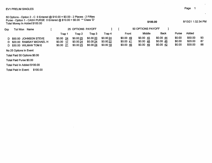|     | 50 Options - Option 2 - C 0 Entered @ $$10.00 = $0.00 - 2$ Places - 2 Fifties<br>Purse - Option 1 - CASH PURSE 0 Entered @ \$10.00 = \$0.00 ** Class 'D'<br>Total Money In Added \$100.00 |            |                   |           |           |          | \$100.00             |             |        | 8/13/21 1:32:34 PM |    |
|-----|-------------------------------------------------------------------------------------------------------------------------------------------------------------------------------------------|------------|-------------------|-----------|-----------|----------|----------------------|-------------|--------|--------------------|----|
| Grp | Tot Won<br>Name                                                                                                                                                                           |            | 25 OPTIONS PAYOFF |           |           |          | 50 OPTIONS PAYOFF    |             |        |                    |    |
|     |                                                                                                                                                                                           | Trap 1     | Trap 2            | Trap 3    | Trap 4    | Front    | Middle               | <b>Back</b> | Purse  | Added              |    |
|     | D \$50.00 JOHNSON STEVE                                                                                                                                                                   | $$0.00$ 24 | \$0.00 25         | \$0.00 20 | \$0.0024  | \$0.0049 | \$0.0045             | \$0.0044    | \$0.00 | \$50.00            | 93 |
|     | D \$20.00 RAMSAY MICHAEL H                                                                                                                                                                | $$0.00$ 17 | \$0.0024          | \$0.0024  | \$0.00 22 | \$0.0041 | $$0.00 \frac{48}{ }$ | \$0.00 46   | \$0.00 | \$20.00            | 87 |
|     | D \$30.00 WILMAN TOM E                                                                                                                                                                    | $$0.00$ 21 | \$0.0025          | \$0.0024  | \$0.0018  | \$0.0046 | \$0.0049             | \$0.0042    | \$0.00 | \$30.00            | 88 |
|     | No 25 Options In Event                                                                                                                                                                    |            |                   |           |           |          |                      |             |        |                    |    |
|     | Total Paid 50 Options \$0.00                                                                                                                                                              |            |                   |           |           |          |                      |             |        |                    |    |
|     | Total Paid Purse \$0.00                                                                                                                                                                   |            |                   |           |           |          |                      |             |        |                    |    |

 $\mathcal{A}^{\pm}$ 

Total Paid In Added \$100.00

Total Paid In Event: \$100.00

 $\mathcal{L}_{\mathcal{A}}$ 

 $\bullet$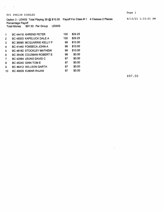$\Delta \phi = 0.000$  ,  $\Delta \phi = 0.000$ 

 $\mathcal{L}_{\mathcal{A}}$ 

Percentage Payoff Total Money \$97.50 Per Group LEWIS

| 1              | <b>BC 44418 AHRENS PETER</b>     | 100 | \$29.25 |
|----------------|----------------------------------|-----|---------|
| $\overline{2}$ | BC 45003 KAPELUCK DALE A         | 100 | \$29.25 |
| 3              | BC 36085 MCQUARRIE KELLY P       | 99  | \$13.00 |
| 4              | <b>BC 41440 FONSECA JOHN A</b>   | 99  | \$13.00 |
| 5              | <b>BC 48182 STOCKLEY MATHEW</b>  | 99  | \$13.00 |
| 6              | <b>BC 35436 COLEMAN ROBERT E</b> | 98  | \$0.00  |
| 7              | <b>BC 42064 LEUNG DAVID C</b>    | 97  | \$0.00  |
| 8              | <b>BC 45240 GINN TOM E</b>       | 97  | \$0.00  |
| 9              | BC 46412 WILLSON GARTH           | 97  | \$0.00  |
| 10             | BC 49009 KUMAR RAJAN             | 97  | \$0.00  |

\$97.50

 $\ddot{\phantom{a}}$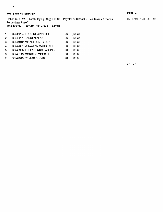$\alpha$  and  $\alpha$  and  $\alpha$ 

Option 3 - LEWIS Total Playing 39 @ \$10.00 Payoff For Class # 2 4 Classes 2 Places 8/13/21 1:33:03 PM Percentage Payoff Total Money \$97.50 Per Group LEWIS

| 1              | BC 36284 TODD REGINALD T         | 96 | \$8.36 |
|----------------|----------------------------------|----|--------|
| $\overline{2}$ | BC 40291 FADDEN ALAN             | 96 | \$8.36 |
| 3              | <b>BC 41912 MIKKELSON TYLER</b>  | 96 | \$8.36 |
| 4              | <b>BC 42361 WIRAWAN MARSHALL</b> | 96 | \$8.36 |
| $5^{\circ}$    | BC 46965 TREFANENKO JASON N      | 96 | \$8.36 |
| 6              | <b>BC 48119 MORRISS MICHAEL</b>  | 96 | \$8.36 |
| 7              | BC 49349 REMIAS DUSAN            | 96 | \$8.36 |

\$58.50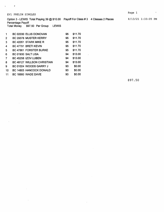×

Option 3 - LEWIS Total Playing 39 @ \$10.00 Payoff For Class #3 4 Classes 2 Places

Percentage Payoff Total Money \$97.50 Per Group LEWIS

| 1  | BC 02030 ELLIS DONOVAN            | 95 | \$11.70 |
|----|-----------------------------------|----|---------|
| 2  | BC 29378 MUSTER KERRY             | 95 | \$11.70 |
| 3  | BC 42051 STARK MIKE R             | 95 | \$11.70 |
| 4  | BC 47791 BRETI KEVIN              | 95 | \$11.70 |
| 5  | BC 47861 FORSTER BURKE            | 95 | \$11.70 |
| 6  | BC 01930 SALT LISA                | 94 | \$13.00 |
| 7  | BC 45258 IZOV LUBEN               | 94 | \$13.00 |
| 8  | <b>BC 48127 WILLSON CHRISTIAN</b> | 94 | \$13.00 |
| 9  | BC 01024 WOODS GARRY J            | 93 | \$0.00  |
| 10 | BC 14803 HANCOCK DONALD           | 93 | \$0.00  |
| 11 | BC 16660 WADE DAVE                | 93 | \$0.00  |
|    |                                   |    |         |

\$97.50

8/13/21 1:33:05 PM